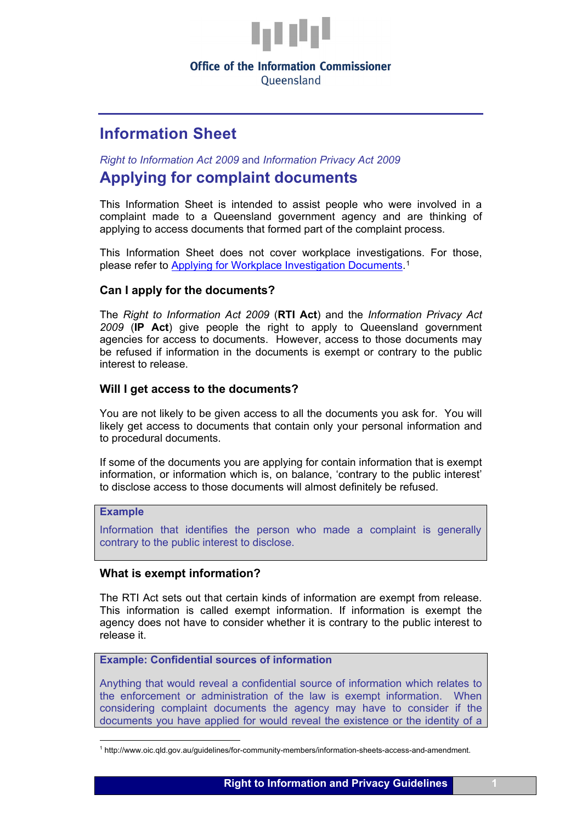

# **Office of the Information Commissioner**

Oueensland

# **Information Sheet**

*Right to Information Act 2009* and *Information Privacy Act 2009*

# **Applying for complaint documents**

This Information Sheet is intended to assist people who were involved in a complaint made to a Queensland government agency and are thinking of applying to access documents that formed part of the complaint process.

This Information Sheet does not cover workplace investigations. For those, please refer to [Applying for Workplace Investigation Documents.](http://www.oic.qld.gov.au/guidelines/for-community-members/information-sheets-access-and-amendment)[1](#page-0-0)

# **Can I apply for the documents?**

The *Right to Information Act 2009* (**RTI Act**) and the *Information Privacy Act 2009* (**IP Act**) give people the right to apply to Queensland government agencies for access to documents. However, access to those documents may be refused if information in the documents is exempt or contrary to the public interest to release.

# **Will I get access to the documents?**

You are not likely to be given access to all the documents you ask for. You will likely get access to documents that contain only your personal information and to procedural documents.

If some of the documents you are applying for contain information that is exempt information, or information which is, on balance, 'contrary to the public interest' to disclose access to those documents will almost definitely be refused.

# **Example**

Information that identifies the person who made a complaint is generally contrary to the public interest to disclose.

# **What is exempt information?**

The RTI Act sets out that certain kinds of information are exempt from release. This information is called exempt information. If information is exempt the agency does not have to consider whether it is contrary to the public interest to release it.

# **Example: Confidential sources of information**

Anything that would reveal a confidential source of information which relates to the enforcement or administration of the law is exempt information. When considering complaint documents the agency may have to consider if the documents you have applied for would reveal the existence or the identity of a

<span id="page-0-0"></span><sup>1</sup> http://www.oic.qld.gov.au/guidelines/for-community-members/information-sheets-access-and-amendment.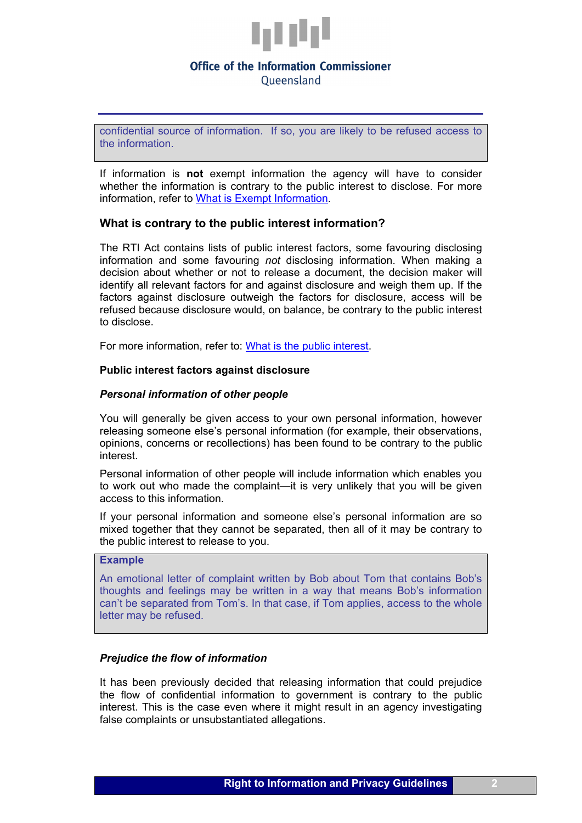

# **Office of the Information Commissioner** Oueensland

confidential source of information. If so, you are likely to be refused access to the information.

If information is **not** exempt information the agency will have to consider whether the information is contrary to the public interest to disclose. For more information, refer to [What is Exempt Information.](https://www.oic.qld.gov.au/guidelines/for-community-members/information-sheets-access-and-amendment/what-is-exempt-information)

#### **What is contrary to the public interest information?**

The RTI Act contains lists of public interest factors, some favouring disclosing information and some favouring *not* disclosing information. When making a decision about whether or not to release a document, the decision maker will identify all relevant factors for and against disclosure and weigh them up. If the factors against disclosure outweigh the factors for disclosure, access will be refused because disclosure would, on balance, be contrary to the public interest to disclose.

For more information, refer to: [What is the public interest.](https://www.oic.qld.gov.au/guidelines/for-community-members/information-sheets-access-and-amendment/what-is-the-public-interest)

#### **Public interest factors against disclosure**

#### *Personal information of other people*

You will generally be given access to your own personal information, however releasing someone else's personal information (for example, their observations, opinions, concerns or recollections) has been found to be contrary to the public interest.

Personal information of other people will include information which enables you to work out who made the complaint—it is very unlikely that you will be given access to this information.

If your personal information and someone else's personal information are so mixed together that they cannot be separated, then all of it may be contrary to the public interest to release to you.

# **Example**

An emotional letter of complaint written by Bob about Tom that contains Bob's thoughts and feelings may be written in a way that means Bob's information can't be separated from Tom's. In that case, if Tom applies, access to the whole letter may be refused.

#### *Prejudice the flow of information*

It has been previously decided that releasing information that could prejudice the flow of confidential information to government is contrary to the public interest. This is the case even where it might result in an agency investigating false complaints or unsubstantiated allegations.